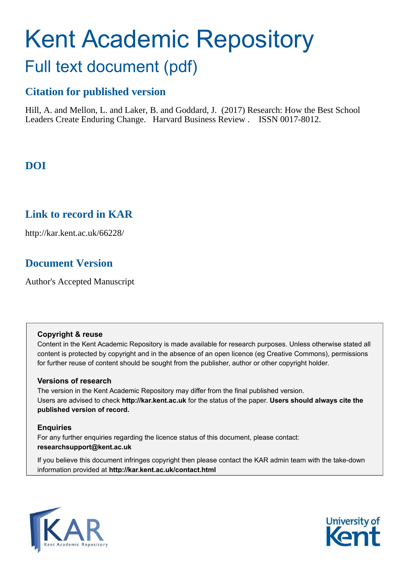## Kent Academic Repository Full text document (pdf)

### **Citation for published version**

Hill, A. and Mellon, L. and Laker, B. and Goddard, J. (2017) Research: How the Best School Leaders Create Enduring Change. Harvard Business Review . ISSN 0017-8012.

## **DOI**

### **Link to record in KAR**

http://kar.kent.ac.uk/66228/

### **Document Version**

Author's Accepted Manuscript

#### **Copyright & reuse**

Content in the Kent Academic Repository is made available for research purposes. Unless otherwise stated all content is protected by copyright and in the absence of an open licence (eg Creative Commons), permissions for further reuse of content should be sought from the publisher, author or other copyright holder.

#### **Versions of research**

The version in the Kent Academic Repository may differ from the final published version. Users are advised to check **http://kar.kent.ac.uk** for the status of the paper. **Users should always cite the published version of record.**

#### **Enquiries**

For any further enquiries regarding the licence status of this document, please contact: **researchsupport@kent.ac.uk**

If you believe this document infringes copyright then please contact the KAR admin team with the take-down information provided at **http://kar.kent.ac.uk/contact.html**



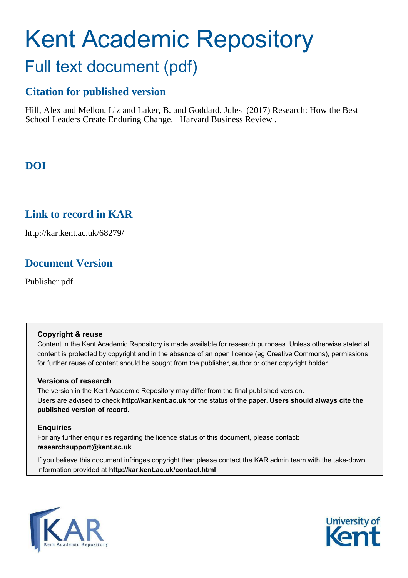## Kent Academic Repository Full text document (pdf)

### **Citation for published version**

Hill, Alex and Mellon, Liz and Laker, B. and Goddard, Jules (2017) Research: How the Best School Leaders Create Enduring Change. Harvard Business Review .

## **DOI**

## **Link to record in KAR**

http://kar.kent.ac.uk/68279/

## **Document Version**

Publisher pdf

#### **Copyright & reuse**

Content in the Kent Academic Repository is made available for research purposes. Unless otherwise stated all content is protected by copyright and in the absence of an open licence (eg Creative Commons), permissions for further reuse of content should be sought from the publisher, author or other copyright holder.

#### **Versions of research**

The version in the Kent Academic Repository may differ from the final published version. Users are advised to check **http://kar.kent.ac.uk** for the status of the paper. **Users should always cite the published version of record.**

#### **Enquiries**

For any further enquiries regarding the licence status of this document, please contact: **researchsupport@kent.ac.uk**

If you believe this document infringes copyright then please contact the KAR admin team with the take-down information provided at **http://kar.kent.ac.uk/contact.html**



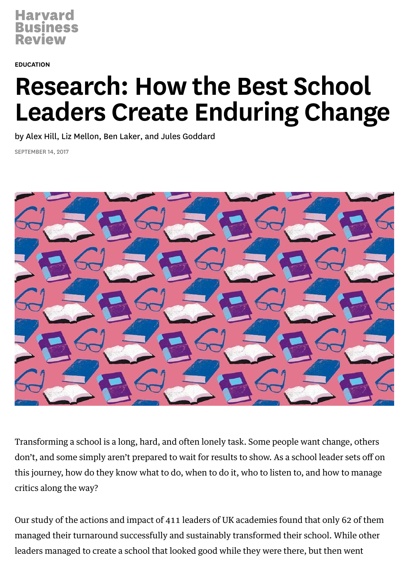EDUCATION

# Research: How the Best School Leaders Create Enduring Change

by Alex Hill, Liz Mellon, Ben Laker, and Jules Goddard

SEPTEMBER 14, 2017



Transforming a school is a long, hard, and often lonely task. Some people want change, others don't, and some simply aren't prepared to wait for results to show. As a school leader sets off on this journey, how do they know what to do, when to do it, who to listen to, and how to manage critics along the way?

Our study of the actions and impact of 411 leaders of UK academies found that only 62 of them managed their turnaround successfully and sustainably transformed their school. While other leaders managed to create a school that looked good while they were there, but then went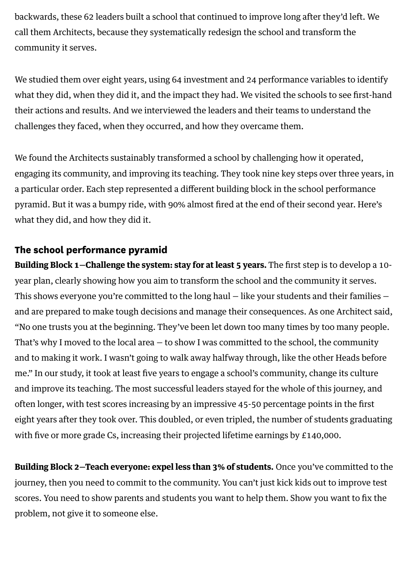backwards, these 62 leaders built a school that continued to improve long after they'd left. We call them Architects, because they systematically redesign the school and transform the community it serves.

We studied them over eight years, using 64 investment and 24 performance variables to identify what they did, when they did it, and the impact they had. We visited the schools to see first-hand their actions and results. And we interviewed the leaders and their teams to understand the challenges they faced, when they occurred, and how they overcame them.

We found the Architects sustainably transformed a school by challenging how it operated, engaging its community, and improving its teaching. They took nine key steps over three years, in a particular order. Each step represented a different building block in the school performance pyramid. But it was a bumpy ride, with 90% almost fired at the end of their second year. Here's what they did, and how they did it.

#### The school performance pyramid

Building Block 1–Challenge the system: stay for at least 5 years. The first step is to develop a 10year plan, clearly showing how you aim to transform the school and the community it serves. This shows everyone you're committed to the long haul  $-$  like your students and their families  $$ and are prepared to make tough decisions and manage their consequences. As one Architect said, "No one trusts you at the beginning. They've been let down too many times by too many people. That's why I moved to the local area  $-$  to show I was committed to the school, the community and to making it work. I wasn't going to walk away halfway through, like the other Heads before me." In our study, it took at least five years to engage a school's community, change its culture and improve its teaching. The most successful leaders stayed for the whole of this journey, and often longer, with test scores increasing by an impressive 45-50 percentage points in the first eight years after they took over. This doubled, or even tripled, the number of students graduating with five or more grade Cs, increasing their projected lifetime earnings by £140,000.

Building Block 2-Teach everyone: expel less than 3% of students. Once you've committed to the journey, then you need to commit to the community. You can't just kick kids out to improve test scores. You need to show parents and students you want to help them. Show you want to fix the problem, not give it to someone else.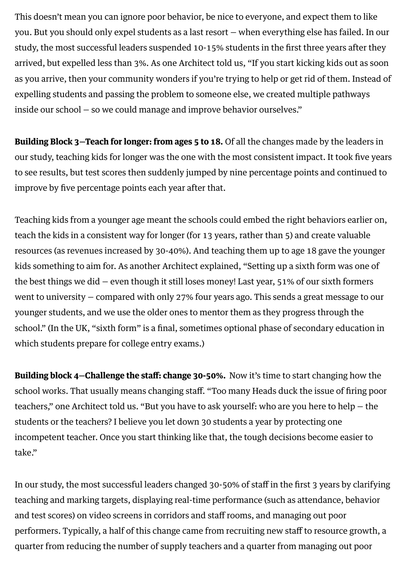This doesn't mean you can ignore poor behavior, be nice to everyone, and expect them to like you. But you should only expel students as a last resort - when everything else has failed. In our study, the most successful leaders suspended 10-15% students in the first three years after they arrived, but expelled less than 3%. As one Architect told us, "If you start kicking kids out as soon as you arrive, then your community wonders if you're trying to help or get rid of them. Instead of expelling students and passing the problem to someone else, we created multiple pathways inside our school  $-$  so we could manage and improve behavior ourselves."

Building Block 3–Teach for longer: from ages 5 to 18. Of all the changes made by the leaders in our study, teaching kids for longer was the one with the most consistent impact. It took five years to see results, but test scores then suddenly jumped by nine percentage points and continued to improve by five percentage points each year after that.

Teaching kids from a younger age meant the schools could embed the right behaviors earlier on, teach the kids in a consistent way for longer (for 13 years, rather than 5) and create valuable resources (as revenues increased by 30-40%). And teaching them up to age 18 gave the younger kids something to aim for. As another Architect explained, "Setting up a sixth form was one of the best things we did  $-$  even though it still loses money! Last year,  $51\%$  of our sixth formers went to university – compared with only 27% four years ago. This sends a great message to our younger students, and we use the older ones to mentor them as they progress through the school." (In the UK, "sixth form" is a final, sometimes optional phase of secondary education in which students prepare for college entry exams.)

Building block 4–Challenge the staff: change 30-50%. Now it's time to start changing how the school works. That usually means changing staff. "Too many Heads duck the issue of firing poor teachers," one Architect told us. "But you have to ask yourself: who are you here to help  $-$  the students or the teachers? I believe you let down 30 students a year by protecting one incompetent teacher. Once you start thinking like that, the tough decisions become easier to take."

In our study, the most successful leaders changed 30-50% of staff in the first 3 years by clarifying teaching and marking targets, displaying real-time performance (such as attendance, behavior and test scores) on video screens in corridors and staff rooms, and managing out poor performers. Typically, a half of this change came from recruiting new staff to resource growth, a quarter from reducing the number of supply teachers and a quarter from managing out poor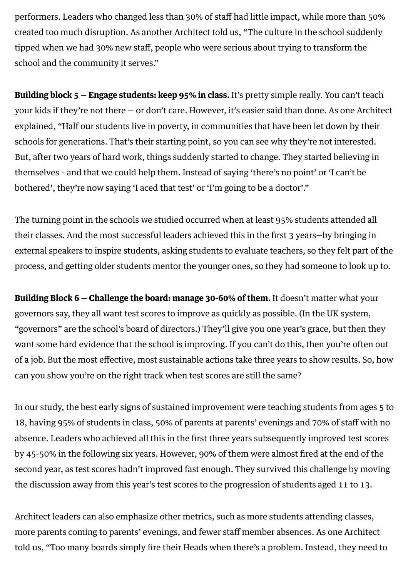performers. Leaders who changed less than 30% of staff had little impact, while more than 50% created too much disruption. As another Architect told us, "The culture in the school suddenly tipped when we had 30% new staff, people who were serious about trying to transform the school and the community it serves."

Building block 5 - Engage students: keep 95% in class. It's pretty simple really. You can't teach your kids if they're not there  $-$  or don't care. However, it's easier said than done. As one Architect explained, "Half our students live in poverty, in communities that have been let down by their schools for generations. That's their starting point, so you can see why they're not interested. But, after two years of hard work, things suddenly started to change. They started believing in themselves - and that we could help them. Instead of saying 'there's no point' or 'I can't be bothered', they're now saying 'I aced that test' or 'I'm going to be a doctor'."

The turning point in the schools we studied occurred when at least 95% students attended all their classes. And the most successful leaders achieved this in the first 3 years-by bringing in external speakers to inspire students, asking students to evaluate teachers, so they felt part of the process, and getting older students mentor the younger ones, so they had someone to look up to.

Building Block  $6 -$ Challenge the board: manage 30-60% of them. It doesn't matter what your governors say, they all want test scores to improve as quickly as possible. (In the UK system, "governors" are the school's board of directors.) They'll give you one year's grace, but then they want some hard evidence that the school is improving. If you can't do this, then you're often out of a job. But the most effective, most sustainable actions take three years to show results. So, how can you show you're on the right track when test scores are still the same?

In our study, the best early signs of sustained improvement were teaching students from ages 5 to 18, having 95% of students in class, 50% of parents at parents' evenings and 70% of staff with no absence. Leaders who achieved all this in the first three years subsequently improved test scores by 45-50% in the following six years. However, 90% of them were almost fired at the end of the second year, as test scores hadn't improved fast enough. They survived this challenge by moving the discussion away from this year's test scores to the progression of students aged 11 to 13.

Architect leaders can also emphasize other metrics, such as more students attending classes, more parents coming to parents' evenings, and fewer staff member absences. As one Architect told us, "Too many boards simply fire their Heads when there's a problem. Instead, they need to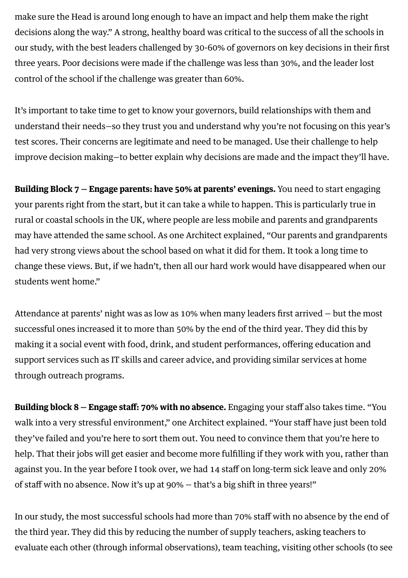make sure the Head is around long enough to have an impact and help them make the right decisions along the way." A strong, healthy board was critical to the success of all the schools in our study, with the best leaders challenged by 30-60% of governors on key decisions in their first three years. Poor decisions were made if the challenge was less than 30%, and the leader lost control of the school if the challenge was greater than 60%.

It's important to take time to get to know your governors, build relationships with them and understand their needs-so they trust you and understand why you're not focusing on this year's test scores. Their concerns are legitimate and need to be managed. Use their challenge to help improve decision making-to better explain why decisions are made and the impact they'll have.

Building Block 7 - Engage parents: have 50% at parents' evenings. You need to start engaging your parents right from the start, but it can take a while to happen. This is particularly true in rural or coastal schools in the UK, where people are less mobile and parents and grandparents may have attended the same school. As one Architect explained, "Our parents and grandparents had very strong views about the school based on what it did for them. It took a long time to change these views. But, if we hadn't, then all our hard work would have disappeared when our students went home."

Attendance at parents' night was as low as  $10\%$  when many leaders first arrived  $-$  but the most successful ones increased it to more than 50% by the end of the third year. They did this by making it a social event with food, drink, and student performances, offering education and support services such as IT skills and career advice, and providing similar services at home through outreach programs.

Building block 8 – Engage staff: 70% with no absence. Engaging your staff also takes time. "You walk into a very stressful environment," one Architect explained. "Your staff have just been told they've failed and you're here to sort them out. You need to convince them that you're here to help. That their jobs will get easier and become more fulfilling if they work with you, rather than against you. In the year before I took over, we had 14 staff on long-term sick leave and only 20% of staff with no absence. Now it's up at  $90\%$  – that's a big shift in three years!"

In our study, the most successful schools had more than 70% staff with no absence by the end of the third year. They did this by reducing the number of supply teachers, asking teachers to evaluate each other (through informal observations), team teaching, visiting other schools (to see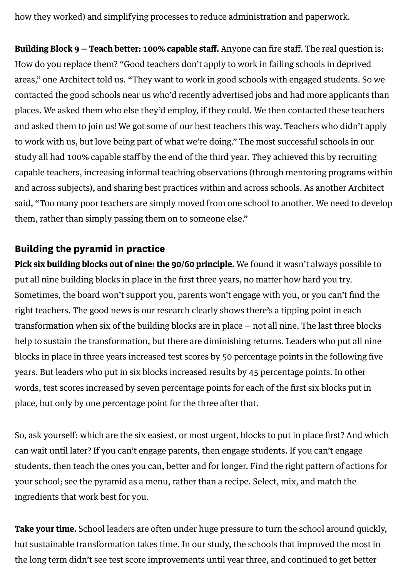how they worked) and simplifying processes to reduce administration and paperwork.

Building Block  $9$  – Teach better: 100% capable staff. Anyone can fire staff. The real question is: How do you replace them? "Good teachers don't apply to work in failing schools in deprived areas," one Architect told us. "They want to work in good schools with engaged students. So we contacted the good schools near us who'd recently advertised jobs and had more applicants than places. We asked them who else they'd employ, if they could. We then contacted these teachers and asked them to join us! We got some of our best teachers this way. Teachers who didn't apply to work with us, but love being part of what we're doing." The most successful schools in our study all had 100% capable staff by the end of the third year. They achieved this by recruiting capable teachers, increasing informal teaching observations (through mentoring programs within and across subjects), and sharing best practices within and across schools. As another Architect said, "Too many poor teachers are simply moved from one school to another. We need to develop them, rather than simply passing them on to someone else."

#### Building the pyramid in practice

Pick six building blocks out of nine: the 90/60 principle. We found it wasn't always possible to put all nine building blocks in place in the first three years, no matter how hard you try. Sometimes, the board won't support you, parents won't engage with you, or you can't find the right teachers. The good news is our research clearly shows there's a tipping point in each transformation when six of the building blocks are in place  $-$  not all nine. The last three blocks help to sustain the transformation, but there are diminishing returns. Leaders who put all nine blocks in place in three years increased test scores by 50 percentage points in the following five years. But leaders who put in six blocks increased results by 45 percentage points. In other words, test scores increased by seven percentage points for each of the first six blocks put in place, but only by one percentage point for the three after that.

So, ask yourself: which are the six easiest, or most urgent, blocks to put in place first? And which can wait until later? If you can't engage parents, then engage students. If you can't engage students, then teach the ones you can, better and for longer. Find the right pattern of actions for your school; see the pyramid as a menu, rather than a recipe. Select, mix, and match the ingredients that work best for you.

Take your time. School leaders are often under huge pressure to turn the school around quickly, but sustainable transformation takes time. In our study, the schools that improved the most in the long term didn't see test score improvements until year three, and continued to get better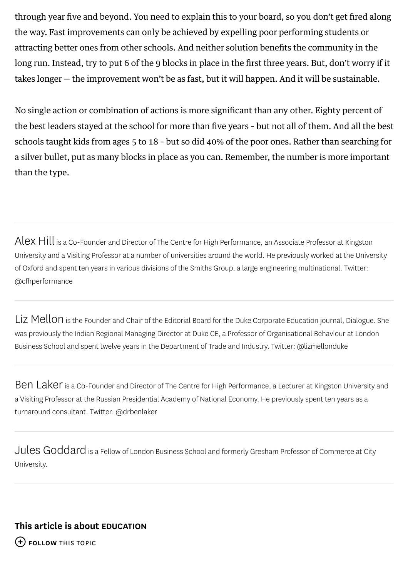through year five and beyond. You need to explain this to your board, so you don't get fired along the way. Fast improvements can only be achieved by expelling poor performing students or attracting better ones from other schools. And neither solution benefits the community in the long run. Instead, try to put 6 of the 9 blocks in place in the first three years. But, don't worry if it takes longer  $-$  the improvement won't be as fast, but it will happen. And it will be sustainable.

No single action or combination of actions is more significant than any other. Eighty percent of the best leaders stayed at the school for more than five years - but not all of them. And all the best schools taught kids from ages 5 to 18 - but so did 40% of the poor ones. Rather than searching for a silver bullet, put as many blocks in place as you can. Remember, the number is more important than the type.

Alex Hill is a Co-Founder and Director of The Centre for High Performance, an Associate Professor at Kingston University and a Visiting Professor at a number of universities around the world. He previously worked at the University of Oxford and spent ten years in various divisions of the Smiths Group, a large engineering multinational. Twitter: @cfhperformance

Liz Mellon is the Founder and Chair of the Editorial Board for the Duke Corporate Education journal, Dialogue. She was previously the Indian Regional Managing Director at Duke CE, a Professor of Organisational Behaviour at London Business School and spent twelve years in the Department of Trade and Industry. Twitter: @lizmellonduke

Ben Laker is a Co-Founder and Director of The Centre for High Performance, a Lecturer at Kingston University and a Visiting Professor at the Russian Presidential Academy of National Economy. He previously spent ten years as a turnaround consultant. Twitter: @drbenlaker

Jules Goddard is a Fellow of London Business School and formerly Gresham Professor of Commerce at City University.

## This article is about EDUCATION  $(+)$  FOLLOW THIS TOPIC